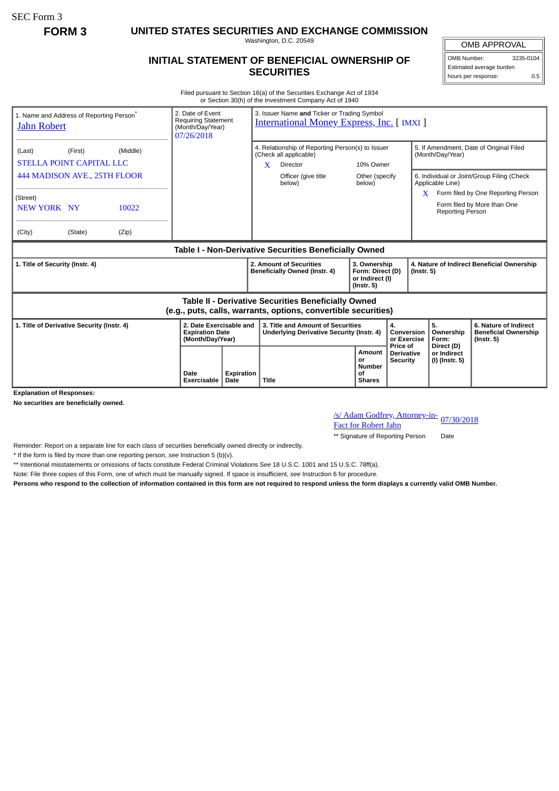SEC Form 3

**FORM 3 UNITED STATES SECURITIES AND EXCHANGE COMMISSION**

Washington, D.C. 20549

## **INITIAL STATEMENT OF BENEFICIAL OWNERSHIP OF SECURITIES**

OMB APPROVAL OMB Number: 3235-0104 Estimated average burden hours per response: 0.5

Filed pursuant to Section 16(a) of the Securities Exchange Act of 1934 or Section 30(h) of the Investment Company Act of 1940

| 1. Name and Address of Reporting Person <sup>®</sup><br><b>Jahn Robert</b>                                            |                                                        |       | 2. Date of Event<br><b>Requiring Statement</b><br>(Month/Day/Year)<br>07/26/2018 |                    | 3. Issuer Name and Ticker or Trading Symbol<br><b>International Money Express, Inc. [IMXI]</b>                      |                               |                                                                         |                                                  |                                                                |                                                                |                                                                          |  |
|-----------------------------------------------------------------------------------------------------------------------|--------------------------------------------------------|-------|----------------------------------------------------------------------------------|--------------------|---------------------------------------------------------------------------------------------------------------------|-------------------------------|-------------------------------------------------------------------------|--------------------------------------------------|----------------------------------------------------------------|----------------------------------------------------------------|--------------------------------------------------------------------------|--|
| (Last)                                                                                                                | (Middle)<br>(First)<br><b>STELLA POINT CAPITAL LLC</b> |       |                                                                                  |                    | 4. Relationship of Reporting Person(s) to Issuer<br>(Check all applicable)<br>$\mathbf{X}$<br>Director<br>10% Owner |                               |                                                                         |                                                  | 5. If Amendment, Date of Original Filed<br>(Month/Day/Year)    |                                                                |                                                                          |  |
| 444 MADISON AVE., 25TH FLOOR                                                                                          |                                                        |       |                                                                                  |                    |                                                                                                                     | Officer (give title<br>below) | Other (specify<br>below)                                                |                                                  |                                                                | 6. Individual or Joint/Group Filing (Check<br>Applicable Line) |                                                                          |  |
| (Street)<br>NEW YORK NY                                                                                               |                                                        | 10022 |                                                                                  |                    |                                                                                                                     |                               |                                                                         |                                                  | X.                                                             | <b>Reporting Person</b>                                        | Form filed by One Reporting Person<br>Form filed by More than One        |  |
| (City)                                                                                                                | (State)                                                | (Zip) |                                                                                  |                    |                                                                                                                     |                               |                                                                         |                                                  |                                                                |                                                                |                                                                          |  |
| Table I - Non-Derivative Securities Beneficially Owned                                                                |                                                        |       |                                                                                  |                    |                                                                                                                     |                               |                                                                         |                                                  |                                                                |                                                                |                                                                          |  |
| 1. Title of Security (Instr. 4)                                                                                       |                                                        |       |                                                                                  |                    | 2. Amount of Securities<br>Beneficially Owned (Instr. 4)                                                            |                               | 3. Ownership<br>Form: Direct (D)<br>or Indirect (I)<br>$($ lnstr. 5 $)$ |                                                  | 4. Nature of Indirect Beneficial Ownership<br>$($ Instr. 5 $)$ |                                                                |                                                                          |  |
| Table II - Derivative Securities Beneficially Owned<br>(e.g., puts, calls, warrants, options, convertible securities) |                                                        |       |                                                                                  |                    |                                                                                                                     |                               |                                                                         |                                                  |                                                                |                                                                |                                                                          |  |
| 1. Title of Derivative Security (Instr. 4)<br><b>Explanation of Responses:</b>                                        |                                                        |       | 2. Date Exercisable and<br><b>Expiration Date</b><br>(Month/Day/Year)            |                    | 3. Title and Amount of Securities<br>Underlying Derivative Security (Instr. 4)                                      |                               |                                                                         | 4.<br>Conversion<br>or Exercise                  | 5.                                                             | Ownership<br>Form:                                             | 6. Nature of Indirect<br><b>Beneficial Ownership</b><br>$($ lnstr. 5 $)$ |  |
|                                                                                                                       |                                                        |       | Date<br>Exercisable                                                              | Expiration<br>Date | Title                                                                                                               |                               | Amount<br>or<br><b>Number</b><br>Οf<br><b>Shares</b>                    | Price of<br><b>Derivative</b><br><b>Security</b> |                                                                | Direct (D)<br>or Indirect<br>(I) (Instr. 5)                    |                                                                          |  |

**No securities are beneficially owned.**

/s/ Adam Godfrey, Attorney-in-<br>Fact for Robert Jahn

\*\* Signature of Reporting Person Date

Reminder: Report on a separate line for each class of securities beneficially owned directly or indirectly.

\* If the form is filed by more than one reporting person, *see* Instruction 5 (b)(v).

\*\* Intentional misstatements or omissions of facts constitute Federal Criminal Violations *See* 18 U.S.C. 1001 and 15 U.S.C. 78ff(a).

Note: File three copies of this Form, one of which must be manually signed. If space is insufficient, *see* Instruction 6 for procedure.

**Persons who respond to the collection of information contained in this form are not required to respond unless the form displays a currently valid OMB Number.**